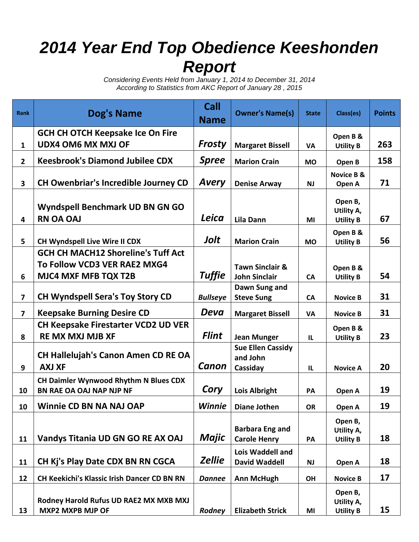## *2014 Year End Top Obedience Keeshonden Report*

*Considering Events Held from January 1, 2014 to December 31, 2014 According to Statistics from AKC Report of January 28 , 2015*

| <b>Rank</b>             | Dog's Name                                                               | Call<br><b>Name</b> | <b>Owner's Name(s)</b>                        | <b>State</b> | Class(es)                                 | <b>Points</b> |
|-------------------------|--------------------------------------------------------------------------|---------------------|-----------------------------------------------|--------------|-------------------------------------------|---------------|
|                         | <b>GCH CH OTCH Keepsake Ice On Fire</b>                                  |                     |                                               |              | Open B &                                  |               |
| $\mathbf{1}$            | <b>UDX4 OM6 MX MXJ OF</b>                                                | <b>Frosty</b>       | <b>Margaret Bissell</b>                       | VA           | <b>Utility B</b>                          | 263           |
| $\mathbf{2}$            | <b>Keesbrook's Diamond Jubilee CDX</b>                                   | <b>Spree</b>        | <b>Marion Crain</b>                           | <b>MO</b>    | Open B                                    | 158           |
| 3                       | <b>CH Owenbriar's Incredible Journey CD</b>                              | <b>Avery</b>        | <b>Denise Arway</b>                           | NJ           | <b>Novice B &amp;</b><br>Open A           | 71            |
| 4                       | Wyndspell Benchmark UD BN GN GO<br><b>RN OA OAJ</b>                      | Leica               | Lila Dann                                     | MI           | Open B,<br>Utility A,<br><b>Utility B</b> | 67            |
| 5                       | CH Wyndspell Live Wire II CDX                                            | Jolt                | <b>Marion Crain</b>                           | <b>MO</b>    | Open B &<br><b>Utility B</b>              | 56            |
|                         | <b>GCH CH MACH12 Shoreline's Tuff Act</b>                                |                     |                                               |              |                                           |               |
|                         | To Follow VCD3 VER RAE2 MXG4                                             |                     | <b>Tawn Sinclair &amp;</b>                    |              | Open B &                                  |               |
| 6                       | <b>MJC4 MXF MFB TQX T2B</b>                                              | <b>Tuffie</b>       | <b>John Sinclair</b>                          | <b>CA</b>    | <b>Utility B</b>                          | 54            |
| $\overline{\mathbf{z}}$ | <b>CH Wyndspell Sera's Toy Story CD</b>                                  | <b>Bullseye</b>     | Dawn Sung and<br><b>Steve Sung</b>            | <b>CA</b>    | <b>Novice B</b>                           | 31            |
| $\overline{7}$          | <b>Keepsake Burning Desire CD</b>                                        | Deva                | <b>Margaret Bissell</b>                       | <b>VA</b>    | <b>Novice B</b>                           | 31            |
|                         | <b>CH Keepsake Firestarter VCD2 UD VER</b>                               |                     |                                               |              | Open B &                                  |               |
| 8                       | <b>RE MX MXJ MJB XF</b>                                                  | <b>Flint</b>        | <b>Jean Munger</b>                            | IL           | <b>Utility B</b>                          | 23            |
|                         | <b>CH Hallelujah's Canon Amen CD RE OA</b>                               |                     | <b>Sue Ellen Cassidy</b>                      |              |                                           |               |
| 9                       | <b>AXJ XF</b>                                                            | Canon               | and John<br>Cassiday                          | IL           | <b>Novice A</b>                           | 20            |
| 10                      | <b>CH Daimler Wynwood Rhythm N Blues CDX</b><br>BN RAE OA OAJ NAP NJP NF | Cory                | <b>Lois Albright</b>                          | PA           | Open A                                    | 19            |
| 10                      | <b>Winnie CD BN NA NAJ OAP</b>                                           | <b>Winnie</b>       | <b>Diane Jothen</b>                           | OR           | Open A                                    | 19            |
| 11                      | Vandys Titania UD GN GO RE AX OAJ                                        | Majic               | <b>Barbara Eng and</b><br><b>Carole Henry</b> | PA           | Open B,<br>Utility A,<br><b>Utility B</b> | 18            |
| 11                      | CH Kj's Play Date CDX BN RN CGCA                                         | <b>Zellie</b>       | Lois Waddell and<br><b>David Waddell</b>      | <b>NJ</b>    | Open A                                    | 18            |
| 12                      | <b>CH Keekichi's Klassic Irish Dancer CD BN RN</b>                       | <b>Dannee</b>       | <b>Ann McHugh</b>                             | OH           | <b>Novice B</b>                           | 17            |
| 13                      | Rodney Harold Rufus UD RAE2 MX MXB MXJ<br><b>MXP2 MXPB MJP OF</b>        | Rodney              | <b>Elizabeth Strick</b>                       | MI           | Open B,<br>Utility A,<br><b>Utility B</b> | 15            |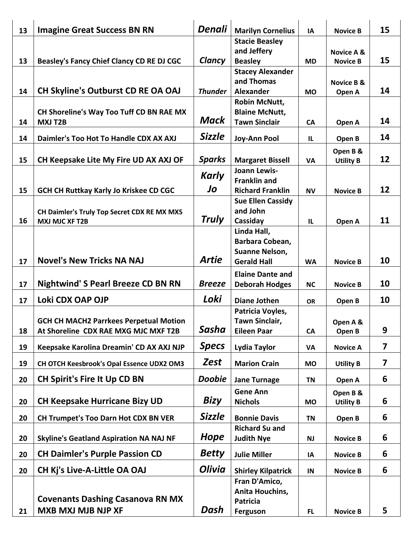| <b>Stacie Beasley</b><br>and Jeffery<br><b>Novice A &amp;</b><br>Clancy<br>15<br>13<br>Beasley's Fancy Chief Clancy CD RE DJ CGC<br><b>Beasley</b><br><b>MD</b><br><b>Novice B</b><br><b>Stacey Alexander</b><br>and Thomas<br><b>Novice B &amp;</b><br>14<br><b>CH Skyline's Outburst CD RE OA OAJ</b><br>14<br><b>Thunder</b><br><b>Alexander</b><br><b>MO</b><br>Open A<br><b>Robin McNutt,</b><br>CH Shoreline's Way Too Tuff CD BN RAE MX<br><b>Blaine McNutt,</b><br>Mack<br>14<br><b>Tawn Sinclair</b><br>14<br><b>MXJ T2B</b><br><b>CA</b><br>Open A<br><b>Sizzle</b><br>14<br>14<br>Daimler's Too Hot To Handle CDX AX AXJ<br><b>Joy-Ann Pool</b><br>IL<br>Open B<br>Open B &<br>12<br><b>Sparks</b><br>15<br>CH Keepsake Lite My Fire UD AX AXJ OF<br><b>Margaret Bissell</b><br>VA<br><b>Utility B</b><br><b>Joann Lewis-</b><br>Karly<br><b>Franklin and</b><br>Jo<br>12<br>15<br><b>GCH CH Ruttkay Karly Jo Kriskee CD CGC</b><br><b>Richard Franklin</b><br><b>NV</b><br><b>Novice B</b><br><b>Sue Ellen Cassidy</b><br>and John<br>CH Daimler's Truly Top Secret CDX RE MX MXS<br>Truly<br>11<br>16<br><b>MXJ MJC XF T2B</b><br>Cassiday<br>$\mathbf{L}$<br>Open A<br>Linda Hall,<br>Barbara Cobean,<br>Suanne Nelson,<br><b>Artie</b><br><b>Novel's New Tricks NA NAJ</b><br>10<br>17<br><b>Gerald Hall</b><br><b>WA</b><br><b>Novice B</b><br><b>Elaine Dante and</b><br><b>Nightwind' S Pearl Breeze CD BN RN</b><br>10<br><b>Breeze</b><br>17<br><b>Deborah Hodges</b><br><b>NC</b><br><b>Novice B</b><br>Loki<br>Loki CDX OAP OJP<br>10<br>17<br><b>Diane Jothen</b><br>Open B<br><b>OR</b><br>Patricia Voyles,<br>Tawn Sinclair,<br><b>GCH CH MACH2 Parrkees Perpetual Motion</b><br>Open A &<br><b>Sasha</b><br>9<br><b>Eileen Paar</b><br>18<br>At Shoreline CDX RAE MXG MJC MXF T2B<br>CA<br>Open B<br><b>Specs</b><br>$\overline{7}$<br>19<br>Keepsake Karolina Dreamin' CD AX AXJ NJP<br>Lydia Taylor<br>VA<br><b>Novice A</b> |
|----------------------------------------------------------------------------------------------------------------------------------------------------------------------------------------------------------------------------------------------------------------------------------------------------------------------------------------------------------------------------------------------------------------------------------------------------------------------------------------------------------------------------------------------------------------------------------------------------------------------------------------------------------------------------------------------------------------------------------------------------------------------------------------------------------------------------------------------------------------------------------------------------------------------------------------------------------------------------------------------------------------------------------------------------------------------------------------------------------------------------------------------------------------------------------------------------------------------------------------------------------------------------------------------------------------------------------------------------------------------------------------------------------------------------------------------------------------------------------------------------------------------------------------------------------------------------------------------------------------------------------------------------------------------------------------------------------------------------------------------------------------------------------------------------------------------------------------------------------------------------------------------------------------------------------------------------------|
|                                                                                                                                                                                                                                                                                                                                                                                                                                                                                                                                                                                                                                                                                                                                                                                                                                                                                                                                                                                                                                                                                                                                                                                                                                                                                                                                                                                                                                                                                                                                                                                                                                                                                                                                                                                                                                                                                                                                                          |
|                                                                                                                                                                                                                                                                                                                                                                                                                                                                                                                                                                                                                                                                                                                                                                                                                                                                                                                                                                                                                                                                                                                                                                                                                                                                                                                                                                                                                                                                                                                                                                                                                                                                                                                                                                                                                                                                                                                                                          |
|                                                                                                                                                                                                                                                                                                                                                                                                                                                                                                                                                                                                                                                                                                                                                                                                                                                                                                                                                                                                                                                                                                                                                                                                                                                                                                                                                                                                                                                                                                                                                                                                                                                                                                                                                                                                                                                                                                                                                          |
|                                                                                                                                                                                                                                                                                                                                                                                                                                                                                                                                                                                                                                                                                                                                                                                                                                                                                                                                                                                                                                                                                                                                                                                                                                                                                                                                                                                                                                                                                                                                                                                                                                                                                                                                                                                                                                                                                                                                                          |
|                                                                                                                                                                                                                                                                                                                                                                                                                                                                                                                                                                                                                                                                                                                                                                                                                                                                                                                                                                                                                                                                                                                                                                                                                                                                                                                                                                                                                                                                                                                                                                                                                                                                                                                                                                                                                                                                                                                                                          |
|                                                                                                                                                                                                                                                                                                                                                                                                                                                                                                                                                                                                                                                                                                                                                                                                                                                                                                                                                                                                                                                                                                                                                                                                                                                                                                                                                                                                                                                                                                                                                                                                                                                                                                                                                                                                                                                                                                                                                          |
|                                                                                                                                                                                                                                                                                                                                                                                                                                                                                                                                                                                                                                                                                                                                                                                                                                                                                                                                                                                                                                                                                                                                                                                                                                                                                                                                                                                                                                                                                                                                                                                                                                                                                                                                                                                                                                                                                                                                                          |
|                                                                                                                                                                                                                                                                                                                                                                                                                                                                                                                                                                                                                                                                                                                                                                                                                                                                                                                                                                                                                                                                                                                                                                                                                                                                                                                                                                                                                                                                                                                                                                                                                                                                                                                                                                                                                                                                                                                                                          |
|                                                                                                                                                                                                                                                                                                                                                                                                                                                                                                                                                                                                                                                                                                                                                                                                                                                                                                                                                                                                                                                                                                                                                                                                                                                                                                                                                                                                                                                                                                                                                                                                                                                                                                                                                                                                                                                                                                                                                          |
|                                                                                                                                                                                                                                                                                                                                                                                                                                                                                                                                                                                                                                                                                                                                                                                                                                                                                                                                                                                                                                                                                                                                                                                                                                                                                                                                                                                                                                                                                                                                                                                                                                                                                                                                                                                                                                                                                                                                                          |
|                                                                                                                                                                                                                                                                                                                                                                                                                                                                                                                                                                                                                                                                                                                                                                                                                                                                                                                                                                                                                                                                                                                                                                                                                                                                                                                                                                                                                                                                                                                                                                                                                                                                                                                                                                                                                                                                                                                                                          |
|                                                                                                                                                                                                                                                                                                                                                                                                                                                                                                                                                                                                                                                                                                                                                                                                                                                                                                                                                                                                                                                                                                                                                                                                                                                                                                                                                                                                                                                                                                                                                                                                                                                                                                                                                                                                                                                                                                                                                          |
|                                                                                                                                                                                                                                                                                                                                                                                                                                                                                                                                                                                                                                                                                                                                                                                                                                                                                                                                                                                                                                                                                                                                                                                                                                                                                                                                                                                                                                                                                                                                                                                                                                                                                                                                                                                                                                                                                                                                                          |
|                                                                                                                                                                                                                                                                                                                                                                                                                                                                                                                                                                                                                                                                                                                                                                                                                                                                                                                                                                                                                                                                                                                                                                                                                                                                                                                                                                                                                                                                                                                                                                                                                                                                                                                                                                                                                                                                                                                                                          |
|                                                                                                                                                                                                                                                                                                                                                                                                                                                                                                                                                                                                                                                                                                                                                                                                                                                                                                                                                                                                                                                                                                                                                                                                                                                                                                                                                                                                                                                                                                                                                                                                                                                                                                                                                                                                                                                                                                                                                          |
|                                                                                                                                                                                                                                                                                                                                                                                                                                                                                                                                                                                                                                                                                                                                                                                                                                                                                                                                                                                                                                                                                                                                                                                                                                                                                                                                                                                                                                                                                                                                                                                                                                                                                                                                                                                                                                                                                                                                                          |
|                                                                                                                                                                                                                                                                                                                                                                                                                                                                                                                                                                                                                                                                                                                                                                                                                                                                                                                                                                                                                                                                                                                                                                                                                                                                                                                                                                                                                                                                                                                                                                                                                                                                                                                                                                                                                                                                                                                                                          |
|                                                                                                                                                                                                                                                                                                                                                                                                                                                                                                                                                                                                                                                                                                                                                                                                                                                                                                                                                                                                                                                                                                                                                                                                                                                                                                                                                                                                                                                                                                                                                                                                                                                                                                                                                                                                                                                                                                                                                          |
|                                                                                                                                                                                                                                                                                                                                                                                                                                                                                                                                                                                                                                                                                                                                                                                                                                                                                                                                                                                                                                                                                                                                                                                                                                                                                                                                                                                                                                                                                                                                                                                                                                                                                                                                                                                                                                                                                                                                                          |
|                                                                                                                                                                                                                                                                                                                                                                                                                                                                                                                                                                                                                                                                                                                                                                                                                                                                                                                                                                                                                                                                                                                                                                                                                                                                                                                                                                                                                                                                                                                                                                                                                                                                                                                                                                                                                                                                                                                                                          |
|                                                                                                                                                                                                                                                                                                                                                                                                                                                                                                                                                                                                                                                                                                                                                                                                                                                                                                                                                                                                                                                                                                                                                                                                                                                                                                                                                                                                                                                                                                                                                                                                                                                                                                                                                                                                                                                                                                                                                          |
|                                                                                                                                                                                                                                                                                                                                                                                                                                                                                                                                                                                                                                                                                                                                                                                                                                                                                                                                                                                                                                                                                                                                                                                                                                                                                                                                                                                                                                                                                                                                                                                                                                                                                                                                                                                                                                                                                                                                                          |
|                                                                                                                                                                                                                                                                                                                                                                                                                                                                                                                                                                                                                                                                                                                                                                                                                                                                                                                                                                                                                                                                                                                                                                                                                                                                                                                                                                                                                                                                                                                                                                                                                                                                                                                                                                                                                                                                                                                                                          |
|                                                                                                                                                                                                                                                                                                                                                                                                                                                                                                                                                                                                                                                                                                                                                                                                                                                                                                                                                                                                                                                                                                                                                                                                                                                                                                                                                                                                                                                                                                                                                                                                                                                                                                                                                                                                                                                                                                                                                          |
|                                                                                                                                                                                                                                                                                                                                                                                                                                                                                                                                                                                                                                                                                                                                                                                                                                                                                                                                                                                                                                                                                                                                                                                                                                                                                                                                                                                                                                                                                                                                                                                                                                                                                                                                                                                                                                                                                                                                                          |
| Zest<br>$\overline{\mathbf{z}}$<br>19<br>CH OTCH Keesbrook's Opal Essence UDX2 OM3<br><b>Marion Crain</b><br><b>MO</b><br><b>Utility B</b>                                                                                                                                                                                                                                                                                                                                                                                                                                                                                                                                                                                                                                                                                                                                                                                                                                                                                                                                                                                                                                                                                                                                                                                                                                                                                                                                                                                                                                                                                                                                                                                                                                                                                                                                                                                                               |
| <b>CH Spirit's Fire It Up CD BN</b><br>6<br><b>Doobie</b><br>20<br><b>Jane Turnage</b><br><b>TN</b><br>Open A                                                                                                                                                                                                                                                                                                                                                                                                                                                                                                                                                                                                                                                                                                                                                                                                                                                                                                                                                                                                                                                                                                                                                                                                                                                                                                                                                                                                                                                                                                                                                                                                                                                                                                                                                                                                                                            |
| <b>Gene Ann</b><br>Open B &                                                                                                                                                                                                                                                                                                                                                                                                                                                                                                                                                                                                                                                                                                                                                                                                                                                                                                                                                                                                                                                                                                                                                                                                                                                                                                                                                                                                                                                                                                                                                                                                                                                                                                                                                                                                                                                                                                                              |
| <b>Bizy</b><br><b>CH Keepsake Hurricane Bizy UD</b><br>6<br>20<br><b>Nichols</b><br><b>MO</b><br><b>Utility B</b>                                                                                                                                                                                                                                                                                                                                                                                                                                                                                                                                                                                                                                                                                                                                                                                                                                                                                                                                                                                                                                                                                                                                                                                                                                                                                                                                                                                                                                                                                                                                                                                                                                                                                                                                                                                                                                        |
| <b>Sizzle</b><br>6<br>20<br><b>CH Trumpet's Too Darn Hot CDX BN VER</b><br><b>Bonnie Davis</b><br><b>TN</b><br>Open B                                                                                                                                                                                                                                                                                                                                                                                                                                                                                                                                                                                                                                                                                                                                                                                                                                                                                                                                                                                                                                                                                                                                                                                                                                                                                                                                                                                                                                                                                                                                                                                                                                                                                                                                                                                                                                    |
| <b>Richard Su and</b>                                                                                                                                                                                                                                                                                                                                                                                                                                                                                                                                                                                                                                                                                                                                                                                                                                                                                                                                                                                                                                                                                                                                                                                                                                                                                                                                                                                                                                                                                                                                                                                                                                                                                                                                                                                                                                                                                                                                    |
| Hope<br>6<br>20<br><b>Skyline's Geatland Aspiration NA NAJ NF</b><br><b>Judith Nye</b><br><b>NJ</b><br><b>Novice B</b>                                                                                                                                                                                                                                                                                                                                                                                                                                                                                                                                                                                                                                                                                                                                                                                                                                                                                                                                                                                                                                                                                                                                                                                                                                                                                                                                                                                                                                                                                                                                                                                                                                                                                                                                                                                                                                   |
| <b>Betty</b><br><b>CH Daimler's Purple Passion CD</b><br>6<br>20<br><b>Julie Miller</b><br>IA<br><b>Novice B</b>                                                                                                                                                                                                                                                                                                                                                                                                                                                                                                                                                                                                                                                                                                                                                                                                                                                                                                                                                                                                                                                                                                                                                                                                                                                                                                                                                                                                                                                                                                                                                                                                                                                                                                                                                                                                                                         |
| <b>Olivia</b><br><b>CH Kj's Live-A-Little OA OAJ</b><br>6<br>20<br><b>Shirley Kilpatrick</b><br>IN<br><b>Novice B</b>                                                                                                                                                                                                                                                                                                                                                                                                                                                                                                                                                                                                                                                                                                                                                                                                                                                                                                                                                                                                                                                                                                                                                                                                                                                                                                                                                                                                                                                                                                                                                                                                                                                                                                                                                                                                                                    |
| Fran D'Amico,                                                                                                                                                                                                                                                                                                                                                                                                                                                                                                                                                                                                                                                                                                                                                                                                                                                                                                                                                                                                                                                                                                                                                                                                                                                                                                                                                                                                                                                                                                                                                                                                                                                                                                                                                                                                                                                                                                                                            |
| Anita Houchins,<br><b>Covenants Dashing Casanova RN MX</b>                                                                                                                                                                                                                                                                                                                                                                                                                                                                                                                                                                                                                                                                                                                                                                                                                                                                                                                                                                                                                                                                                                                                                                                                                                                                                                                                                                                                                                                                                                                                                                                                                                                                                                                                                                                                                                                                                               |
| <b>Patricia</b><br>Dash<br><b>MXB MXJ MJB NJP XF</b><br>5<br>21<br>Ferguson<br><b>FL</b><br><b>Novice B</b>                                                                                                                                                                                                                                                                                                                                                                                                                                                                                                                                                                                                                                                                                                                                                                                                                                                                                                                                                                                                                                                                                                                                                                                                                                                                                                                                                                                                                                                                                                                                                                                                                                                                                                                                                                                                                                              |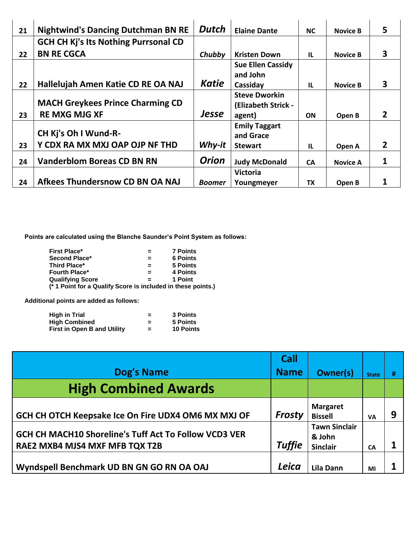| 21 | <b>Nightwind's Dancing Dutchman BN RE</b>   | <b>Dutch</b> | <b>Elaine Dante</b>      | <b>NC</b>    | <b>Novice B</b> | 5            |
|----|---------------------------------------------|--------------|--------------------------|--------------|-----------------|--------------|
|    | <b>GCH CH Kj's Its Nothing Purrsonal CD</b> |              |                          |              |                 |              |
| 22 | <b>BN RE CGCA</b>                           | Chubby       | <b>Kristen Down</b>      | $\mathbf{L}$ | <b>Novice B</b> | 3            |
|    |                                             |              | <b>Sue Ellen Cassidy</b> |              |                 |              |
|    |                                             |              | and John                 |              |                 |              |
| 22 | Hallelujah Amen Katie CD RE OA NAJ          | <b>Katie</b> | Cassiday                 | $\mathbf{L}$ | <b>Novice B</b> | 3            |
|    |                                             |              | <b>Steve Dworkin</b>     |              |                 |              |
|    | <b>MACH Greykees Prince Charming CD</b>     |              | (Elizabeth Strick -      |              |                 |              |
| 23 | <b>RE MXG MJG XF</b>                        | <b>Jesse</b> | agent)                   | <b>ON</b>    | Open B          | $\mathbf{2}$ |
|    |                                             |              | <b>Emily Taggart</b>     |              |                 |              |
|    | CH Kj's Oh I Wund-R-                        |              | and Grace                |              |                 |              |
| 23 | Y CDX RA MX MXJ OAP OJP NF THD              | Why-it       | <b>Stewart</b>           | $\mathbf{L}$ | Open A          | 2            |
| 24 | <b>Vanderblom Boreas CD BN RN</b>           | <b>Orion</b> | <b>Judy McDonald</b>     | <b>CA</b>    | <b>Novice A</b> | 1            |
|    |                                             |              | <b>Victoria</b>          |              |                 |              |
| 24 | Afkees Thundersnow CD BN OA NAJ             | Boomer       | Youngmeyer               | <b>TX</b>    | Open B          |              |

**Points are calculated using the Blanche Saunder's Point System as follows:**

| <b>First Place*</b>                                          | $=$      | <b>7 Points</b> |
|--------------------------------------------------------------|----------|-----------------|
| Second Place*                                                | $\equiv$ | <b>6 Points</b> |
| <b>Third Place*</b>                                          | $=$      | 5 Points        |
| <b>Fourth Place*</b>                                         | $\equiv$ | 4 Points        |
| <b>Qualifying Score</b>                                      |          | 1 Point         |
| (* 1 Point for a Qualify Score is included in these points.) |          |                 |

**Additional points are added as follows:**

| <b>High in Trial</b>               | = | 3 Points         |
|------------------------------------|---|------------------|
| <b>High Combined</b>               | = | 5 Points         |
| <b>First in Open B and Utility</b> | = | <b>10 Points</b> |

|                                                                                         | Call          |                                                   |              |   |
|-----------------------------------------------------------------------------------------|---------------|---------------------------------------------------|--------------|---|
| <b>Dog's Name</b>                                                                       | <b>Name</b>   | <b>Owner(s)</b>                                   | <b>State</b> | # |
| <b>High Combined Awards</b>                                                             |               |                                                   |              |   |
| GCH CH OTCH Keepsake Ice On Fire UDX4 OM6 MX MXJ OF                                     | <b>Frosty</b> | <b>Margaret</b><br><b>Bissell</b>                 | VA           | 9 |
| GCH CH MACH10 Shoreline's Tuff Act To Follow VCD3 VER<br>RAE2 MXB4 MJS4 MXF MFB TQX T2B | <b>Tuffie</b> | <b>Tawn Sinclair</b><br>& John<br><b>Sinclair</b> | CA           |   |
| Wyndspell Benchmark UD BN GN GO RN OA OAJ                                               | Leica         | Lila Dann                                         | MI           |   |